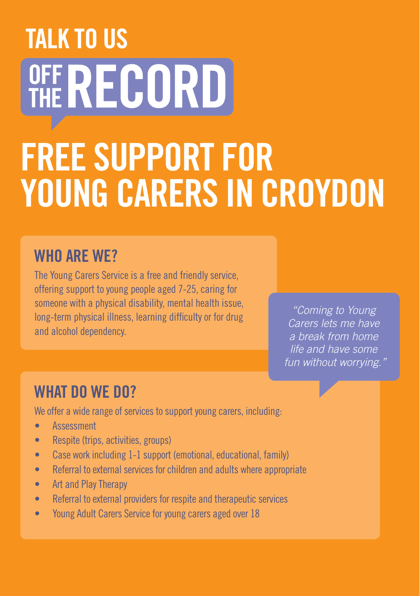## **TALK TO US** OFF RECORD FREE SUPPORT FOR YOUNG CARERS IN CROYDON

## WHO ARE WF?

The Young Carers Service is a free and friendly service, offering support to young people aged 7-25, caring for someone with a physical disability, mental health issue, long-term physical illness, learning difficulty or for drug and alcohol dependency.

*"Coming to Young Carers lets me have a break from home life and have some fun without worrying."*

## WHAT DO WF DO?

We offer a wide range of services to support young carers, including:

- • Assessment
- Respite (trips, activities, groups)
- Case work including 1-1 support (emotional, educational, family)
- Referral to external services for children and adults where appropriate
- Art and Play Therapy
- Referral to external providers for respite and therapeutic services
- Young Adult Carers Service for young carers aged over 18